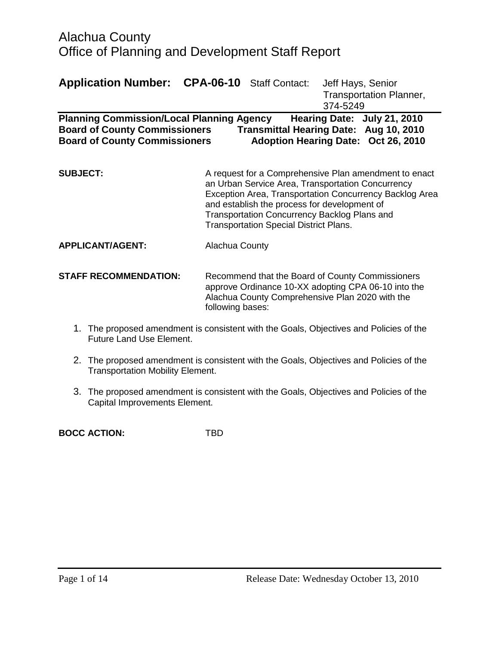| <b>Application Number: CPA-06-10</b> Staff Contact:                                                                                                                                                                                              |                                                                                                                                                                                                                                                                                                                        |  | Jeff Hays, Senior<br><b>Transportation Planner,</b><br>374-5249 |
|--------------------------------------------------------------------------------------------------------------------------------------------------------------------------------------------------------------------------------------------------|------------------------------------------------------------------------------------------------------------------------------------------------------------------------------------------------------------------------------------------------------------------------------------------------------------------------|--|-----------------------------------------------------------------|
| <b>Planning Commission/Local Planning Agency</b><br>Hearing Date: July 21, 2010<br>Transmittal Hearing Date: Aug 10, 2010<br><b>Board of County Commissioners</b><br><b>Board of County Commissioners</b><br>Adoption Hearing Date: Oct 26, 2010 |                                                                                                                                                                                                                                                                                                                        |  |                                                                 |
| <b>SUBJECT:</b>                                                                                                                                                                                                                                  | A request for a Comprehensive Plan amendment to enact<br>an Urban Service Area, Transportation Concurrency<br>Exception Area, Transportation Concurrency Backlog Area<br>and establish the process for development of<br>Transportation Concurrency Backlog Plans and<br><b>Transportation Special District Plans.</b> |  |                                                                 |
| <b>APPLICANT/AGENT:</b>                                                                                                                                                                                                                          | Alachua County                                                                                                                                                                                                                                                                                                         |  |                                                                 |
| <b>STAFF RECOMMENDATION:</b>                                                                                                                                                                                                                     | Recommend that the Board of County Commissioners<br>approve Ordinance 10-XX adopting CPA 06-10 into the<br>Alachua County Comprehensive Plan 2020 with the<br>following bases:                                                                                                                                         |  |                                                                 |

- 1. The proposed amendment is consistent with the Goals, Objectives and Policies of the Future Land Use Element.
- 2. The proposed amendment is consistent with the Goals, Objectives and Policies of the Transportation Mobility Element.
- 3. The proposed amendment is consistent with the Goals, Objectives and Policies of the Capital Improvements Element.

**BOCC ACTION:** TBD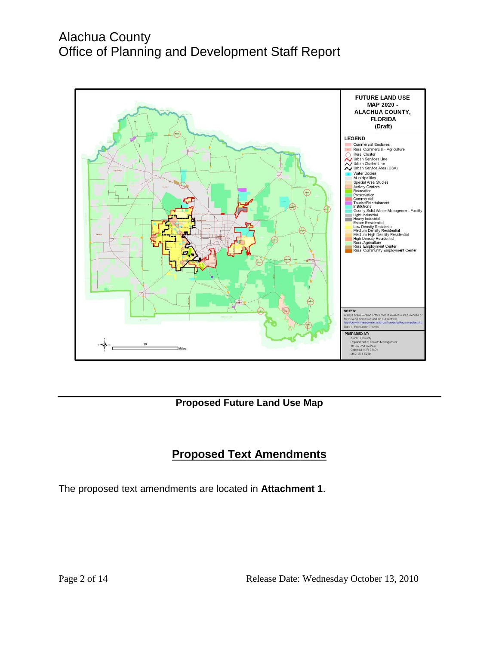

#### **Proposed Future Land Use Map**

### **Proposed Text Amendments**

The proposed text amendments are located in **Attachment 1**.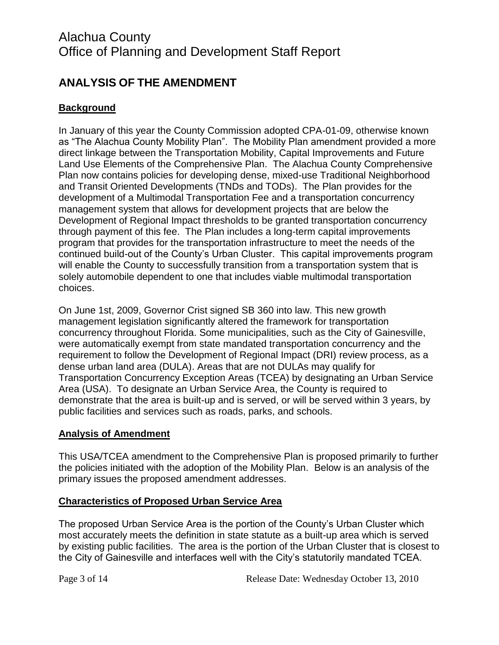### **ANALYSIS OF THE AMENDMENT**

### **Background**

In January of this year the County Commission adopted CPA-01-09, otherwise known as "The Alachua County Mobility Plan". The Mobility Plan amendment provided a more direct linkage between the Transportation Mobility, Capital Improvements and Future Land Use Elements of the Comprehensive Plan. The Alachua County Comprehensive Plan now contains policies for developing dense, mixed-use Traditional Neighborhood and Transit Oriented Developments (TNDs and TODs). The Plan provides for the development of a Multimodal Transportation Fee and a transportation concurrency management system that allows for development projects that are below the Development of Regional Impact thresholds to be granted transportation concurrency through payment of this fee. The Plan includes a long-term capital improvements program that provides for the transportation infrastructure to meet the needs of the continued build-out of the County's Urban Cluster. This capital improvements program will enable the County to successfully transition from a transportation system that is solely automobile dependent to one that includes viable multimodal transportation choices.

On June 1st, 2009, Governor Crist signed SB 360 into law. This new growth management legislation significantly altered the framework for transportation concurrency throughout Florida. Some municipalities, such as the City of Gainesville, were automatically exempt from state mandated transportation concurrency and the requirement to follow the Development of Regional Impact (DRI) review process, as a dense urban land area (DULA). Areas that are not DULAs may qualify for Transportation Concurrency Exception Areas (TCEA) by designating an Urban Service Area (USA). To designate an Urban Service Area, the County is required to demonstrate that the area is built-up and is served, or will be served within 3 years, by public facilities and services such as roads, parks, and schools.

#### **Analysis of Amendment**

This USA/TCEA amendment to the Comprehensive Plan is proposed primarily to further the policies initiated with the adoption of the Mobility Plan. Below is an analysis of the primary issues the proposed amendment addresses.

#### **Characteristics of Proposed Urban Service Area**

The proposed Urban Service Area is the portion of the County's Urban Cluster which most accurately meets the definition in state statute as a built-up area which is served by existing public facilities. The area is the portion of the Urban Cluster that is closest to the City of Gainesville and interfaces well with the City's statutorily mandated TCEA.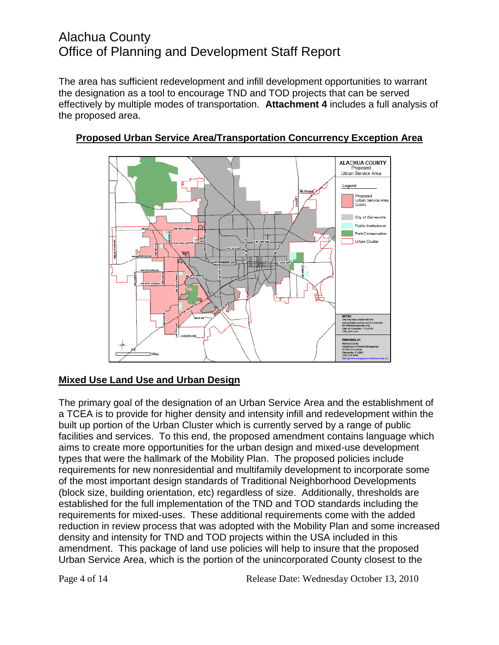The area has sufficient redevelopment and infill development opportunities to warrant the designation as a tool to encourage TND and TOD projects that can be served effectively by multiple modes of transportation. **Attachment 4** includes a full analysis of the proposed area.



### **Proposed Urban Service Area/Transportation Concurrency Exception Area**

### **Mixed Use Land Use and Urban Design**

The primary goal of the designation of an Urban Service Area and the establishment of a TCEA is to provide for higher density and intensity infill and redevelopment within the built up portion of the Urban Cluster which is currently served by a range of public facilities and services. To this end, the proposed amendment contains language which aims to create more opportunities for the urban design and mixed-use development types that were the hallmark of the Mobility Plan. The proposed policies include requirements for new nonresidential and multifamily development to incorporate some of the most important design standards of Traditional Neighborhood Developments (block size, building orientation, etc) regardless of size. Additionally, thresholds are established for the full implementation of the TND and TOD standards including the requirements for mixed-uses. These additional requirements come with the added reduction in review process that was adopted with the Mobility Plan and some increased density and intensity for TND and TOD projects within the USA included in this amendment. This package of land use policies will help to insure that the proposed Urban Service Area, which is the portion of the unincorporated County closest to the

Page 4 of 14 Release Date: Wednesday October 13, 2010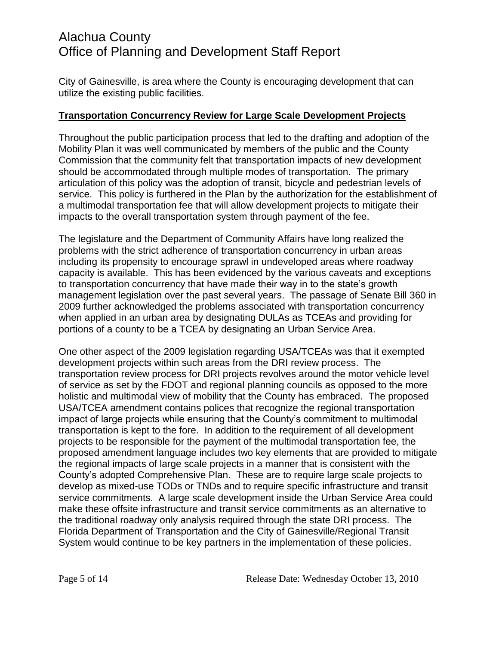City of Gainesville, is area where the County is encouraging development that can utilize the existing public facilities.

#### **Transportation Concurrency Review for Large Scale Development Projects**

Throughout the public participation process that led to the drafting and adoption of the Mobility Plan it was well communicated by members of the public and the County Commission that the community felt that transportation impacts of new development should be accommodated through multiple modes of transportation. The primary articulation of this policy was the adoption of transit, bicycle and pedestrian levels of service. This policy is furthered in the Plan by the authorization for the establishment of a multimodal transportation fee that will allow development projects to mitigate their impacts to the overall transportation system through payment of the fee.

The legislature and the Department of Community Affairs have long realized the problems with the strict adherence of transportation concurrency in urban areas including its propensity to encourage sprawl in undeveloped areas where roadway capacity is available. This has been evidenced by the various caveats and exceptions to transportation concurrency that have made their way in to the state's growth management legislation over the past several years. The passage of Senate Bill 360 in 2009 further acknowledged the problems associated with transportation concurrency when applied in an urban area by designating DULAs as TCEAs and providing for portions of a county to be a TCEA by designating an Urban Service Area.

One other aspect of the 2009 legislation regarding USA/TCEAs was that it exempted development projects within such areas from the DRI review process. The transportation review process for DRI projects revolves around the motor vehicle level of service as set by the FDOT and regional planning councils as opposed to the more holistic and multimodal view of mobility that the County has embraced. The proposed USA/TCEA amendment contains polices that recognize the regional transportation impact of large projects while ensuring that the County's commitment to multimodal transportation is kept to the fore. In addition to the requirement of all development projects to be responsible for the payment of the multimodal transportation fee, the proposed amendment language includes two key elements that are provided to mitigate the regional impacts of large scale projects in a manner that is consistent with the County's adopted Comprehensive Plan. These are to require large scale projects to develop as mixed-use TODs or TNDs and to require specific infrastructure and transit service commitments. A large scale development inside the Urban Service Area could make these offsite infrastructure and transit service commitments as an alternative to the traditional roadway only analysis required through the state DRI process. The Florida Department of Transportation and the City of Gainesville/Regional Transit System would continue to be key partners in the implementation of these policies.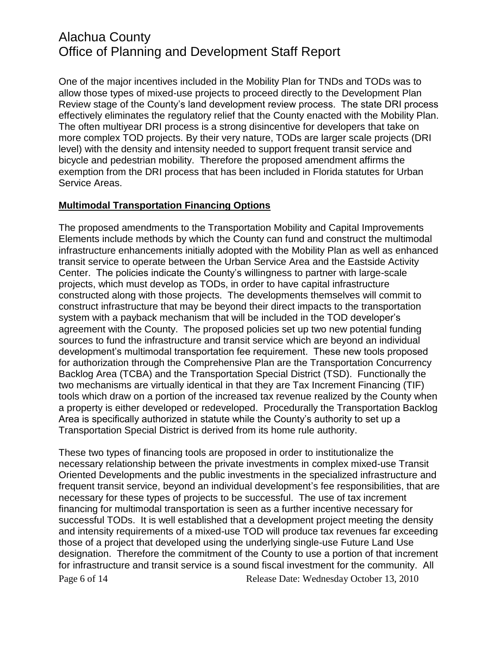One of the major incentives included in the Mobility Plan for TNDs and TODs was to allow those types of mixed-use projects to proceed directly to the Development Plan Review stage of the County's land development review process. The state DRI process effectively eliminates the regulatory relief that the County enacted with the Mobility Plan. The often multiyear DRI process is a strong disincentive for developers that take on more complex TOD projects. By their very nature, TODs are larger scale projects (DRI level) with the density and intensity needed to support frequent transit service and bicycle and pedestrian mobility. Therefore the proposed amendment affirms the exemption from the DRI process that has been included in Florida statutes for Urban Service Areas.

#### **Multimodal Transportation Financing Options**

The proposed amendments to the Transportation Mobility and Capital Improvements Elements include methods by which the County can fund and construct the multimodal infrastructure enhancements initially adopted with the Mobility Plan as well as enhanced transit service to operate between the Urban Service Area and the Eastside Activity Center. The policies indicate the County's willingness to partner with large-scale projects, which must develop as TODs, in order to have capital infrastructure constructed along with those projects. The developments themselves will commit to construct infrastructure that may be beyond their direct impacts to the transportation system with a payback mechanism that will be included in the TOD developer's agreement with the County. The proposed policies set up two new potential funding sources to fund the infrastructure and transit service which are beyond an individual development's multimodal transportation fee requirement. These new tools proposed for authorization through the Comprehensive Plan are the Transportation Concurrency Backlog Area (TCBA) and the Transportation Special District (TSD). Functionally the two mechanisms are virtually identical in that they are Tax Increment Financing (TIF) tools which draw on a portion of the increased tax revenue realized by the County when a property is either developed or redeveloped. Procedurally the Transportation Backlog Area is specifically authorized in statute while the County's authority to set up a Transportation Special District is derived from its home rule authority.

Page 6 of 14 Release Date: Wednesday October 13, 2010 These two types of financing tools are proposed in order to institutionalize the necessary relationship between the private investments in complex mixed-use Transit Oriented Developments and the public investments in the specialized infrastructure and frequent transit service, beyond an individual development's fee responsibilities, that are necessary for these types of projects to be successful. The use of tax increment financing for multimodal transportation is seen as a further incentive necessary for successful TODs. It is well established that a development project meeting the density and intensity requirements of a mixed-use TOD will produce tax revenues far exceeding those of a project that developed using the underlying single-use Future Land Use designation. Therefore the commitment of the County to use a portion of that increment for infrastructure and transit service is a sound fiscal investment for the community. All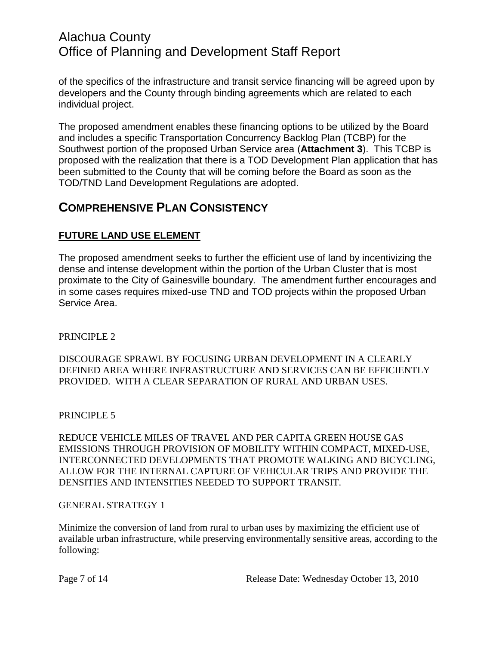of the specifics of the infrastructure and transit service financing will be agreed upon by developers and the County through binding agreements which are related to each individual project.

The proposed amendment enables these financing options to be utilized by the Board and includes a specific Transportation Concurrency Backlog Plan (TCBP) for the Southwest portion of the proposed Urban Service area (**Attachment 3**). This TCBP is proposed with the realization that there is a TOD Development Plan application that has been submitted to the County that will be coming before the Board as soon as the TOD/TND Land Development Regulations are adopted.

### **COMPREHENSIVE PLAN CONSISTENCY**

#### **FUTURE LAND USE ELEMENT**

The proposed amendment seeks to further the efficient use of land by incentivizing the dense and intense development within the portion of the Urban Cluster that is most proximate to the City of Gainesville boundary. The amendment further encourages and in some cases requires mixed-use TND and TOD projects within the proposed Urban Service Area.

#### PRINCIPLE 2

DISCOURAGE SPRAWL BY FOCUSING URBAN DEVELOPMENT IN A CLEARLY DEFINED AREA WHERE INFRASTRUCTURE AND SERVICES CAN BE EFFICIENTLY PROVIDED. WITH A CLEAR SEPARATION OF RURAL AND URBAN USES.

#### PRINCIPLE 5

REDUCE VEHICLE MILES OF TRAVEL AND PER CAPITA GREEN HOUSE GAS EMISSIONS THROUGH PROVISION OF MOBILITY WITHIN COMPACT, MIXED-USE, INTERCONNECTED DEVELOPMENTS THAT PROMOTE WALKING AND BICYCLING, ALLOW FOR THE INTERNAL CAPTURE OF VEHICULAR TRIPS AND PROVIDE THE DENSITIES AND INTENSITIES NEEDED TO SUPPORT TRANSIT.

#### GENERAL STRATEGY 1

Minimize the conversion of land from rural to urban uses by maximizing the efficient use of available urban infrastructure, while preserving environmentally sensitive areas, according to the following: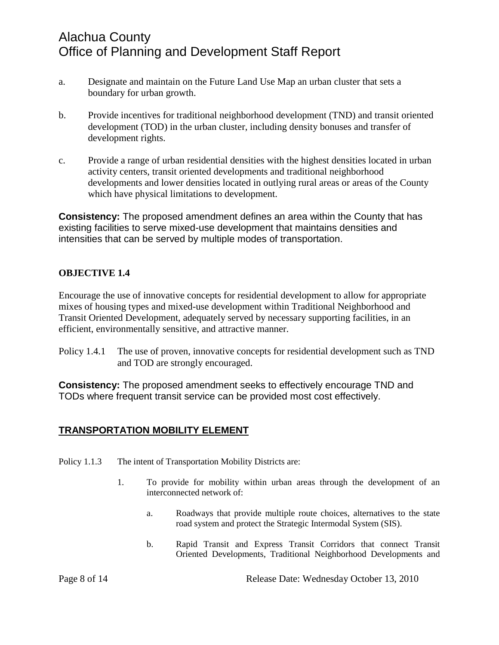- a. Designate and maintain on the Future Land Use Map an urban cluster that sets a boundary for urban growth.
- b. Provide incentives for traditional neighborhood development (TND) and transit oriented development (TOD) in the urban cluster, including density bonuses and transfer of development rights.
- c. Provide a range of urban residential densities with the highest densities located in urban activity centers, transit oriented developments and traditional neighborhood developments and lower densities located in outlying rural areas or areas of the County which have physical limitations to development.

**Consistency:** The proposed amendment defines an area within the County that has existing facilities to serve mixed-use development that maintains densities and intensities that can be served by multiple modes of transportation.

#### **OBJECTIVE 1.4**

Encourage the use of innovative concepts for residential development to allow for appropriate mixes of housing types and mixed-use development within Traditional Neighborhood and Transit Oriented Development, adequately served by necessary supporting facilities, in an efficient, environmentally sensitive, and attractive manner.

Policy 1.4.1 The use of proven, innovative concepts for residential development such as TND and TOD are strongly encouraged.

**Consistency:** The proposed amendment seeks to effectively encourage TND and TODs where frequent transit service can be provided most cost effectively.

#### **TRANSPORTATION MOBILITY ELEMENT**

- Policy 1.1.3 The intent of Transportation Mobility Districts are:
	- 1. To provide for mobility within urban areas through the development of an interconnected network of:
		- a. Roadways that provide multiple route choices, alternatives to the state road system and protect the Strategic Intermodal System (SIS).
		- b. Rapid Transit and Express Transit Corridors that connect Transit Oriented Developments, Traditional Neighborhood Developments and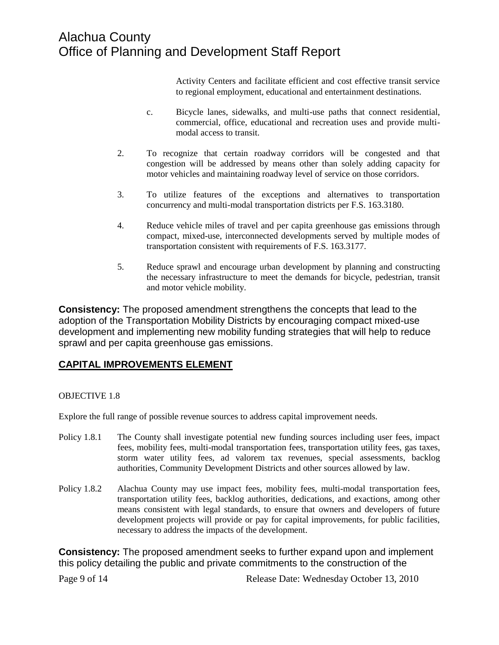Activity Centers and facilitate efficient and cost effective transit service to regional employment, educational and entertainment destinations.

- c. Bicycle lanes, sidewalks, and multi-use paths that connect residential, commercial, office, educational and recreation uses and provide multimodal access to transit.
- 2. To recognize that certain roadway corridors will be congested and that congestion will be addressed by means other than solely adding capacity for motor vehicles and maintaining roadway level of service on those corridors.
- 3. To utilize features of the exceptions and alternatives to transportation concurrency and multi-modal transportation districts per F.S. 163.3180.
- 4. Reduce vehicle miles of travel and per capita greenhouse gas emissions through compact, mixed-use, interconnected developments served by multiple modes of transportation consistent with requirements of F.S. 163.3177.
- 5. Reduce sprawl and encourage urban development by planning and constructing the necessary infrastructure to meet the demands for bicycle, pedestrian, transit and motor vehicle mobility.

**Consistency:** The proposed amendment strengthens the concepts that lead to the adoption of the Transportation Mobility Districts by encouraging compact mixed-use development and implementing new mobility funding strategies that will help to reduce sprawl and per capita greenhouse gas emissions.

#### **CAPITAL IMPROVEMENTS ELEMENT**

#### OBJECTIVE 1.8

Explore the full range of possible revenue sources to address capital improvement needs.

- Policy 1.8.1 The County shall investigate potential new funding sources including user fees, impact fees, mobility fees, multi-modal transportation fees, transportation utility fees, gas taxes, storm water utility fees, ad valorem tax revenues, special assessments, backlog authorities, Community Development Districts and other sources allowed by law.
- Policy 1.8.2 Alachua County may use impact fees, mobility fees, multi-modal transportation fees, transportation utility fees, backlog authorities, dedications, and exactions, among other means consistent with legal standards, to ensure that owners and developers of future development projects will provide or pay for capital improvements, for public facilities, necessary to address the impacts of the development.

**Consistency:** The proposed amendment seeks to further expand upon and implement this policy detailing the public and private commitments to the construction of the

Page 9 of 14 Release Date: Wednesday October 13, 2010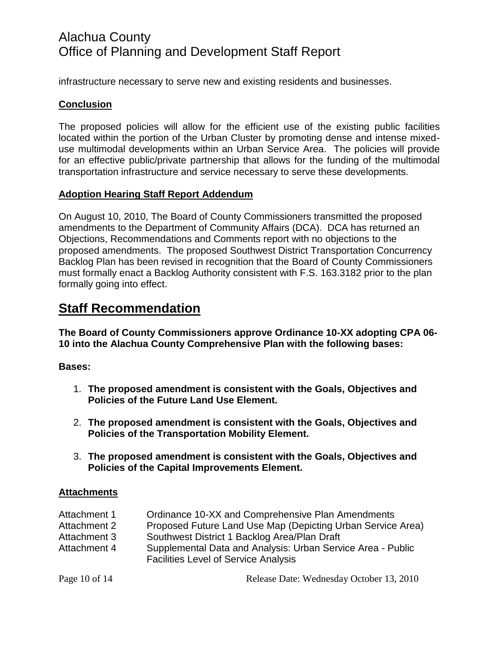infrastructure necessary to serve new and existing residents and businesses.

#### **Conclusion**

The proposed policies will allow for the efficient use of the existing public facilities located within the portion of the Urban Cluster by promoting dense and intense mixeduse multimodal developments within an Urban Service Area. The policies will provide for an effective public/private partnership that allows for the funding of the multimodal transportation infrastructure and service necessary to serve these developments.

#### **Adoption Hearing Staff Report Addendum**

On August 10, 2010, The Board of County Commissioners transmitted the proposed amendments to the Department of Community Affairs (DCA). DCA has returned an Objections, Recommendations and Comments report with no objections to the proposed amendments. The proposed Southwest District Transportation Concurrency Backlog Plan has been revised in recognition that the Board of County Commissioners must formally enact a Backlog Authority consistent with F.S. 163.3182 prior to the plan formally going into effect.

## **Staff Recommendation**

**The Board of County Commissioners approve Ordinance 10-XX adopting CPA 06- 10 into the Alachua County Comprehensive Plan with the following bases:**

#### **Bases:**

- 1. **The proposed amendment is consistent with the Goals, Objectives and Policies of the Future Land Use Element.**
- 2. **The proposed amendment is consistent with the Goals, Objectives and Policies of the Transportation Mobility Element.**
- 3. **The proposed amendment is consistent with the Goals, Objectives and Policies of the Capital Improvements Element.**

#### **Attachments**

| Attachment 1 | Ordinance 10-XX and Comprehensive Plan Amendments                                                          |
|--------------|------------------------------------------------------------------------------------------------------------|
| Attachment 2 | Proposed Future Land Use Map (Depicting Urban Service Area)                                                |
| Attachment 3 | Southwest District 1 Backlog Area/Plan Draft                                                               |
| Attachment 4 | Supplemental Data and Analysis: Urban Service Area - Public<br><b>Facilities Level of Service Analysis</b> |

Page 10 of 14 Release Date: Wednesday October 13, 2010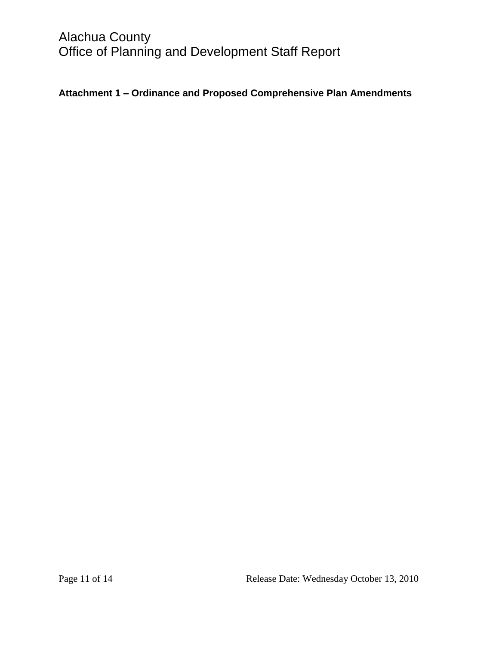### **Attachment 1 – Ordinance and Proposed Comprehensive Plan Amendments**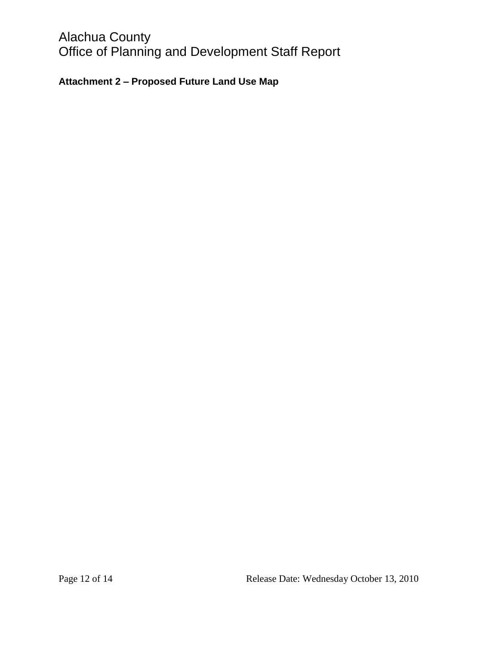### **Attachment 2 – Proposed Future Land Use Map**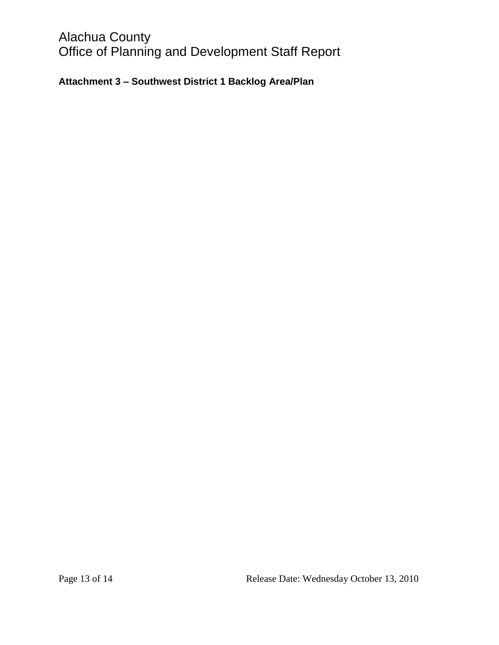### **Attachment 3 – Southwest District 1 Backlog Area/Plan**